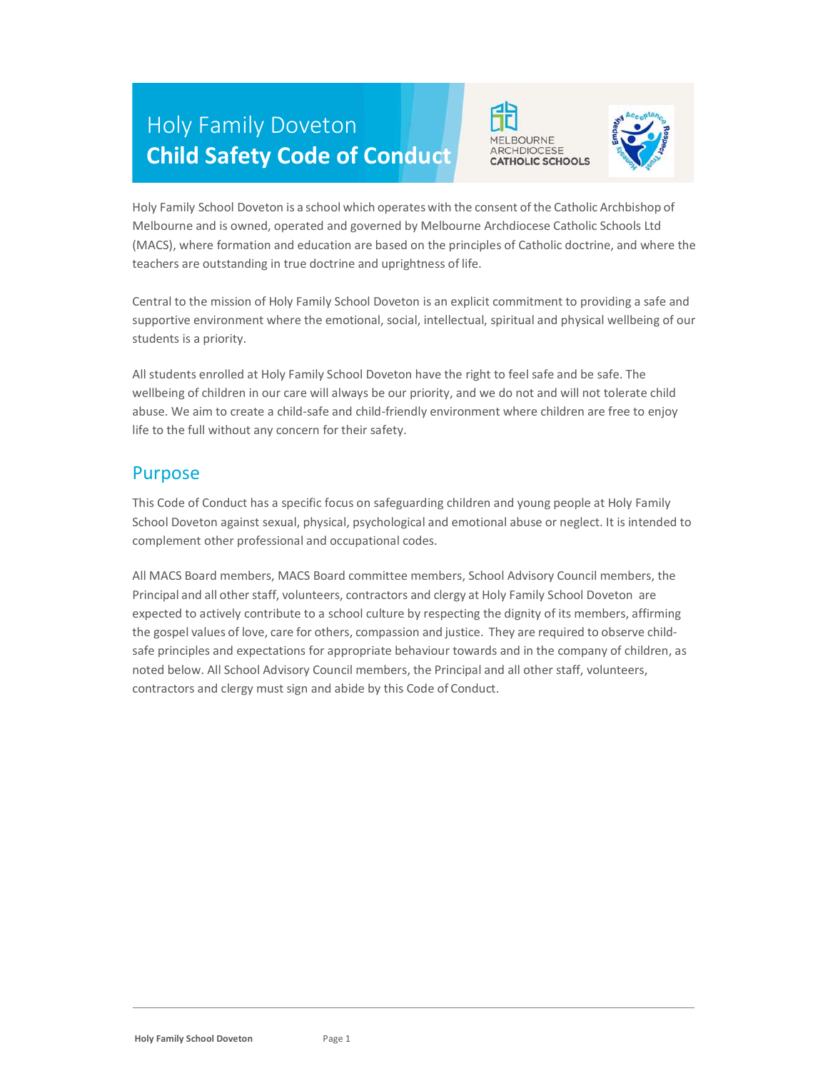# Holy Family Doveton Child Safety Code of Conduct





Holy Family School Doveton is a school which operates with the consent of the Catholic Archbishop of Melbourne and is owned, operated and governed by Melbourne Archdiocese Catholic Schools Ltd (MACS), where formation and education are based on the principles of Catholic doctrine, and where the teachers are outstanding in true doctrine and uprightness of life.

Central to the mission of Holy Family School Doveton is an explicit commitment to providing a safe and supportive environment where the emotional, social, intellectual, spiritual and physical wellbeing of our students is a priority.

All students enrolled at Holy Family School Doveton have the right to feel safe and be safe. The wellbeing of children in our care will always be our priority, and we do not and will not tolerate child abuse. We aim to create a child-safe and child-friendly environment where children are free to enjoy life to the full without any concern for their safety.

#### Purpose

This Code of Conduct has a specific focus on safeguarding children and young people at Holy Family School Doveton against sexual, physical, psychological and emotional abuse or neglect. It is intended to complement other professional and occupational codes.

All MACS Board members, MACS Board committee members, School Advisory Council members, the Principal and all other staff, volunteers, contractors and clergy at Holy Family School Doveton are expected to actively contribute to a school culture by respecting the dignity of its members, affirming the gospel values of love, care for others, compassion and justice. They are required to observe childsafe principles and expectations for appropriate behaviour towards and in the company of children, as noted below. All School Advisory Council members, the Principal and all other staff, volunteers, contractors and clergy must sign and abide by this Code of Conduct.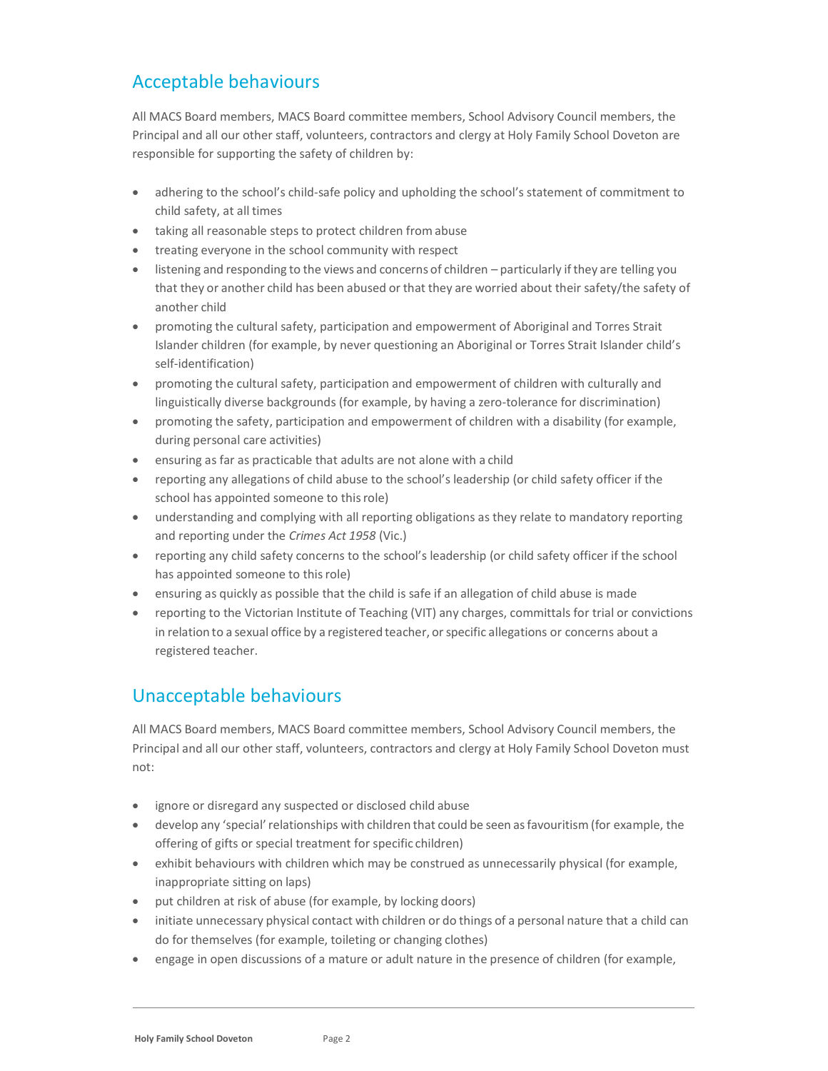## Acceptable behaviours

All MACS Board members, MACS Board committee members, School Advisory Council members, the Principal and all our other staff, volunteers, contractors and clergy at Holy Family School Doveton are responsible for supporting the safety of children by:

- adhering to the school's child-safe policy and upholding the school's statement of commitment to child safety, at all times
- taking all reasonable steps to protect children from abuse
- treating everyone in the school community with respect
- listening and responding to the views and concerns of children particularly if they are telling you that they or another child has been abused or that they are worried about their safety/the safety of another child
- promoting the cultural safety, participation and empowerment of Aboriginal and Torres Strait Islander children (for example, by never questioning an Aboriginal or Torres Strait Islander child's self-identification)
- promoting the cultural safety, participation and empowerment of children with culturally and linguistically diverse backgrounds (for example, by having a zero-tolerance for discrimination)
- promoting the safety, participation and empowerment of children with a disability (for example, during personal care activities)
- ensuring as far as practicable that adults are not alone with a child
- reporting any allegations of child abuse to the school's leadership (or child safety officer if the school has appointed someone to this role)
- understanding and complying with all reporting obligations as they relate to mandatory reporting and reporting under the Crimes Act 1958 (Vic.)
- reporting any child safety concerns to the school's leadership (or child safety officer if the school has appointed someone to this role)
- ensuring as quickly as possible that the child is safe if an allegation of child abuse is made
- reporting to the Victorian Institute of Teaching (VIT) any charges, committals for trial or convictions in relation to a sexual office by a registered teacher, or specific allegations or concerns about a registered teacher.

## Unacceptable behaviours

All MACS Board members, MACS Board committee members, School Advisory Council members, the Principal and all our other staff, volunteers, contractors and clergy at Holy Family School Doveton must not:

- ignore or disregard any suspected or disclosed child abuse
- develop any 'special' relationships with children that could be seen as favouritism (for example, the offering of gifts or special treatment for specific children)
- exhibit behaviours with children which may be construed as unnecessarily physical (for example, inappropriate sitting on laps)
- put children at risk of abuse (for example, by locking doors)
- initiate unnecessary physical contact with children or do things of a personal nature that a child can do for themselves (for example, toileting or changing clothes)
- engage in open discussions of a mature or adult nature in the presence of children (for example,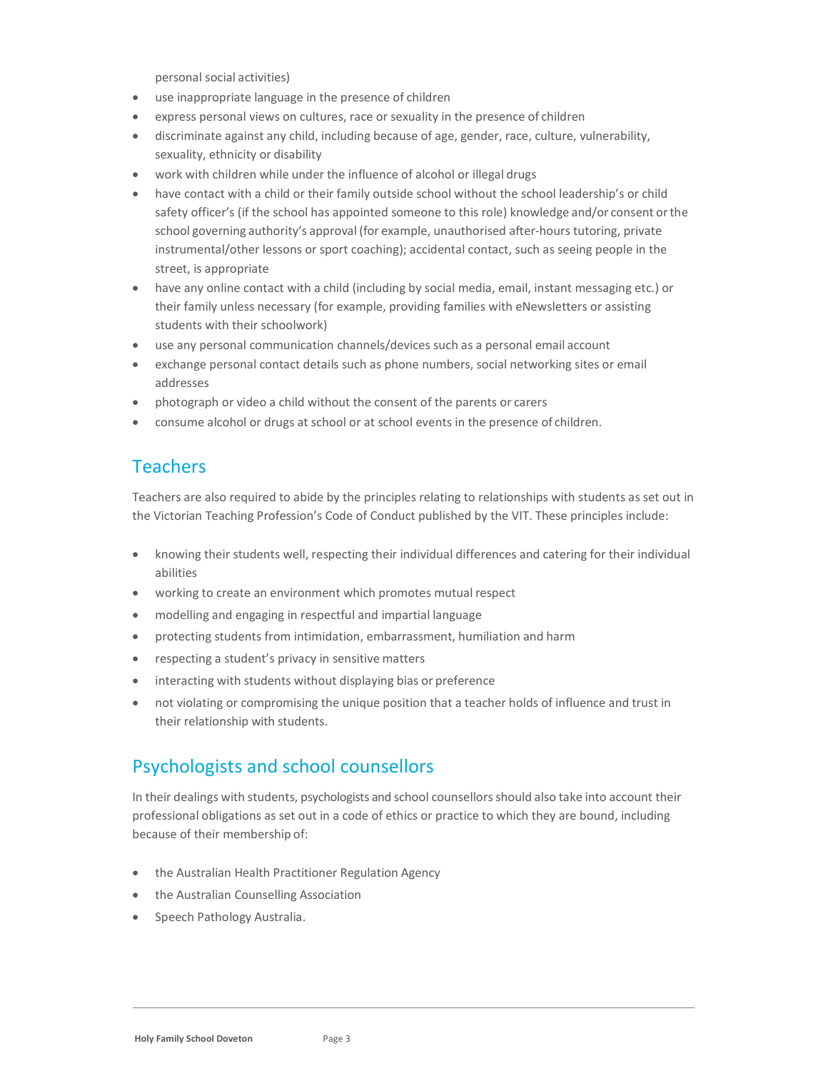personal social activities)

- use inappropriate language in the presence of children
- express personal views on cultures, race or sexuality in the presence of children
- discriminate against any child, including because of age, gender, race, culture, vulnerability, sexuality, ethnicity or disability
- work with children while under the influence of alcohol or illegal drugs
- have contact with a child or their family outside school without the school leadership's or child safety officer's (if the school has appointed someone to this role) knowledge and/or consent or the school governing authority's approval (for example, unauthorised after-hours tutoring, private instrumental/other lessons or sport coaching); accidental contact, such as seeing people in the street, is appropriate
- have any online contact with a child (including by social media, email, instant messaging etc.) or their family unless necessary (for example, providing families with eNewsletters or assisting students with their schoolwork)
- use any personal communication channels/devices such as a personal email account
- exchange personal contact details such as phone numbers, social networking sites or email addresses
- photograph or video a child without the consent of the parents or carers
- consume alcohol or drugs at school or at school events in the presence of children.

## **Teachers**

Teachers are also required to abide by the principles relating to relationships with students as set out in the Victorian Teaching Profession's Code of Conduct published by the VIT. These principles include:

- knowing their students well, respecting their individual differences and catering for their individual abilities
- working to create an environment which promotes mutual respect
- modelling and engaging in respectful and impartial language
- protecting students from intimidation, embarrassment, humiliation and harm
- respecting a student's privacy in sensitive matters
- interacting with students without displaying bias or preference
- not violating or compromising the unique position that a teacher holds of influence and trust in their relationship with students.

## Psychologists and school counsellors

In their dealings with students, psychologists and school counsellors should also take into account their professional obligations as set out in a code of ethics or practice to which they are bound, including because of their membership of:

- the Australian Health Practitioner Regulation Agency
- the Australian Counselling Association
- Speech Pathology Australia.